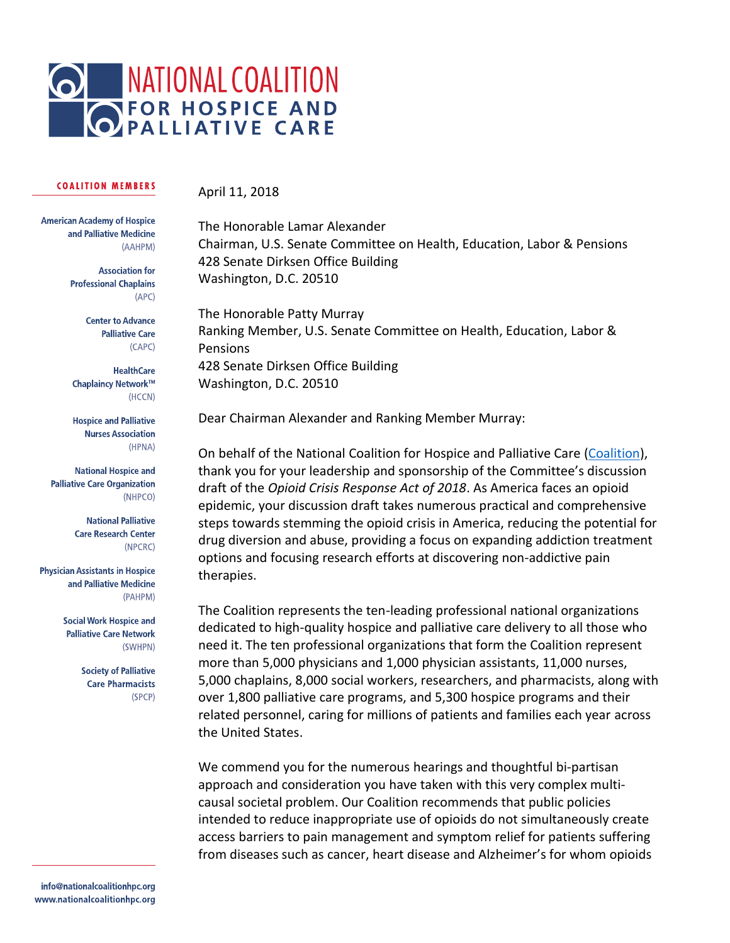

# April 11, 2018

**American Academy of Hospice** and Palliative Medicine (AAHPM)

> **Association for Professional Chaplains**  $(APC)$

> > **Center to Advance Palliative Care**  $(CAPC)$

**HealthCare** Chaplaincy Network™ (HCCN)

**Hospice and Palliative Nurses Association** (HPNA)

**National Hospice and Palliative Care Organization** (NHPCO)

> **National Palliative Care Research Center** (NPCRC)

**Physician Assistants in Hospice** and Palliative Medicine (PAHPM)

> **Social Work Hospice and Palliative Care Network** (SWHPN)

> > **Society of Palliative Care Pharmacists** (SPCP)

info@nationalcoalitionhpc.org www.nationalcoalitionhpc.org The Honorable Lamar Alexander Chairman, U.S. Senate Committee on Health, Education, Labor & Pensions 428 Senate Dirksen Office Building Washington, D.C. 20510

The Honorable Patty Murray Ranking Member, U.S. Senate Committee on Health, Education, Labor & Pensions 428 Senate Dirksen Office Building Washington, D.C. 20510

Dear Chairman Alexander and Ranking Member Murray:

On behalf of the National Coalition for Hospice and Palliative Care [\(Coalition\)](http://www.nationalcoalitionhpc.org/), thank you for your leadership and sponsorship of the Committee's discussion draft of the *Opioid Crisis Response Act of 2018*. As America faces an opioid epidemic, your discussion draft takes numerous practical and comprehensive steps towards stemming the opioid crisis in America, reducing the potential for drug diversion and abuse, providing a focus on expanding addiction treatment options and focusing research efforts at discovering non-addictive pain therapies.

The Coalition represents the ten-leading professional national organizations dedicated to high-quality hospice and palliative care delivery to all those who need it. The ten professional organizations that form the Coalition represent more than 5,000 physicians and 1,000 physician assistants, 11,000 nurses, 5,000 chaplains, 8,000 social workers, researchers, and pharmacists, along with over 1,800 palliative care programs, and 5,300 hospice programs and their related personnel, caring for millions of patients and families each year across the United States.

We commend you for the numerous hearings and thoughtful bi-partisan approach and consideration you have taken with this very complex multicausal societal problem. Our Coalition recommends that public policies intended to reduce inappropriate use of opioids do not simultaneously create access barriers to pain management and symptom relief for patients suffering from diseases such as cancer, heart disease and Alzheimer's for whom opioids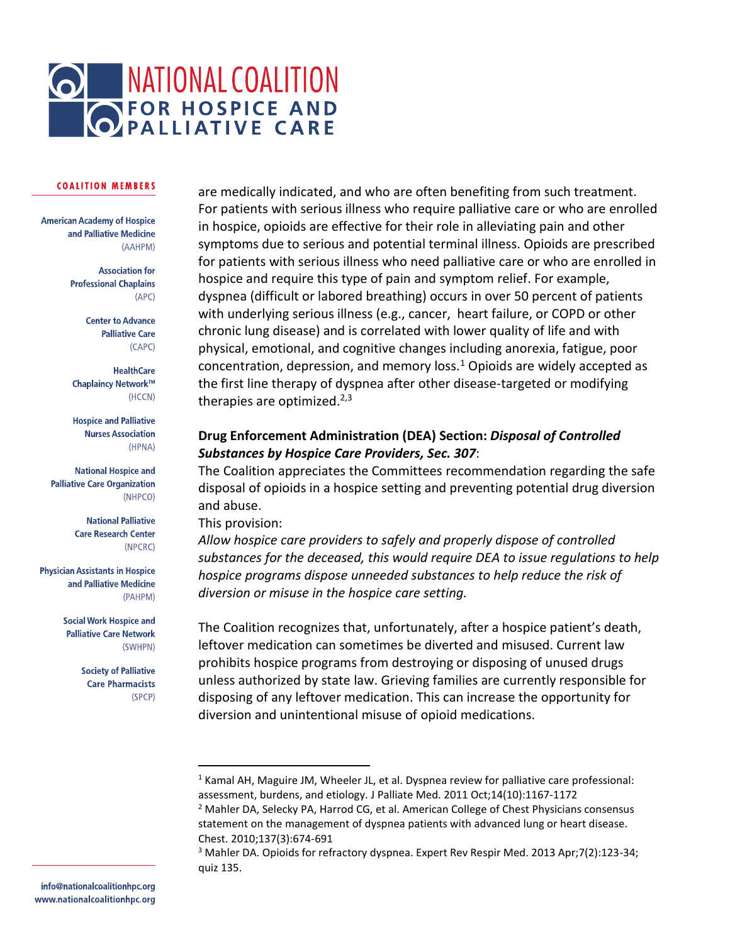

**American Academy of Hospice** and Palliative Medicine (AAHPM)

> **Association for Professional Chaplains**  $(APC)$

> > **Center to Advance Palliative Care** (CAPC)

**HealthCare** Chaplaincy Network™ (HCCN)

**Hospice and Palliative Nurses Association** (HPNA)

**National Hospice and Palliative Care Organization** (NHPCO)

> **National Palliative Care Research Center** (NPCRC)

**Physician Assistants in Hospice** and Palliative Medicine (PAHPM)

> **Social Work Hospice and Palliative Care Network** (SWHPN)

> > **Society of Palliative Care Pharmacists** (SPCP)

are medically indicated, and who are often benefiting from such treatment. For patients with serious illness who require palliative care or who are enrolled in hospice, opioids are effective for their role in alleviating pain and other symptoms due to serious and potential terminal illness. Opioids are prescribed for patients with serious illness who need palliative care or who are enrolled in hospice and require this type of pain and symptom relief. For example, dyspnea (difficult or labored breathing) occurs in over 50 percent of patients with underlying serious illness (e.g., cancer, heart failure, or COPD or other chronic lung disease) and is correlated with lower quality of life and with physical, emotional, and cognitive changes including anorexia, fatigue, poor concentration, depression, and memory loss.<sup>1</sup> Opioids are widely accepted as the first line therapy of dyspnea after other disease-targeted or modifying therapies are optimized. $2,3$ 

# **Drug Enforcement Administration (DEA) Section:** *Disposal of Controlled Substances by Hospice Care Providers, Sec. 307*:

The Coalition appreciates the Committees recommendation regarding the safe disposal of opioids in a hospice setting and preventing potential drug diversion and abuse.

# This provision:

 $\overline{a}$ 

*Allow hospice care providers to safely and properly dispose of controlled substances for the deceased, this would require DEA to issue regulations to help hospice programs dispose unneeded substances to help reduce the risk of diversion or misuse in the hospice care setting.*

The Coalition recognizes that, unfortunately, after a hospice patient's death, leftover medication can sometimes be diverted and misused. Current law prohibits hospice programs from destroying or disposing of unused drugs unless authorized by state law. Grieving families are currently responsible for disposing of any leftover medication. This can increase the opportunity for diversion and unintentional misuse of opioid medications.

<sup>&</sup>lt;sup>1</sup> Kamal AH, Maguire JM, Wheeler JL, et al. Dyspnea review for palliative care professional: assessment, burdens, and etiology. J Palliate Med. 2011 Oct;14(10):1167-1172

<sup>&</sup>lt;sup>2</sup> Mahler DA, Selecky PA, Harrod CG, et al. American College of Chest Physicians consensus statement on the management of dyspnea patients with advanced lung or heart disease. Chest. 2010;137(3):674-691

<sup>3</sup> Mahler DA. Opioids for refractory dyspnea. Expert Rev Respir Med. 2013 Apr;7(2):123-34; quiz 135.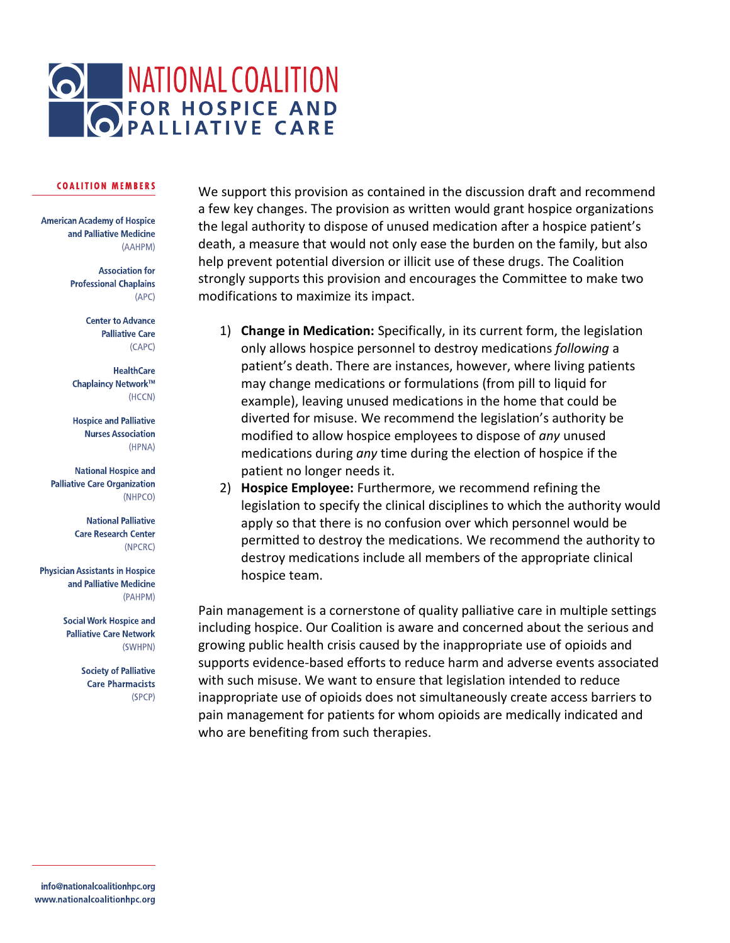

**American Academy of Hospice** and Palliative Medicine (AAHPM)

> **Association for Professional Chaplains**  $(APC)$

> > **Center to Advance Palliative Care**  $(CAPC)$

**HealthCare** Chaplaincy Network™ (HCCN)

**Hospice and Palliative Nurses Association** (HPNA)

**National Hospice and Palliative Care Organization** (NHPCO)

> **National Palliative Care Research Center** (NPCRC)

**Physician Assistants in Hospice** and Palliative Medicine (PAHPM)

> **Social Work Hospice and Palliative Care Network** (SWHPN)

> > **Society of Palliative Care Pharmacists** (SPCP)

We support this provision as contained in the discussion draft and recommend a few key changes. The provision as written would grant hospice organizations the legal authority to dispose of unused medication after a hospice patient's death, a measure that would not only ease the burden on the family, but also help prevent potential diversion or illicit use of these drugs. The Coalition strongly supports this provision and encourages the Committee to make two modifications to maximize its impact.

- 1) **Change in Medication:** Specifically, in its current form, the legislation only allows hospice personnel to destroy medications *following* a patient's death. There are instances, however, where living patients may change medications or formulations (from pill to liquid for example), leaving unused medications in the home that could be diverted for misuse. We recommend the legislation's authority be modified to allow hospice employees to dispose of *any* unused medications during *any* time during the election of hospice if the patient no longer needs it.
- 2) **Hospice Employee:** Furthermore, we recommend refining the legislation to specify the clinical disciplines to which the authority would apply so that there is no confusion over which personnel would be permitted to destroy the medications. We recommend the authority to destroy medications include all members of the appropriate clinical hospice team.

Pain management is a cornerstone of quality palliative care in multiple settings including hospice. Our Coalition is aware and concerned about the serious and growing public health crisis caused by the inappropriate use of opioids and supports evidence-based efforts to reduce harm and adverse events associated with such misuse. We want to ensure that legislation intended to reduce inappropriate use of opioids does not simultaneously create access barriers to pain management for patients for whom opioids are medically indicated and who are benefiting from such therapies.